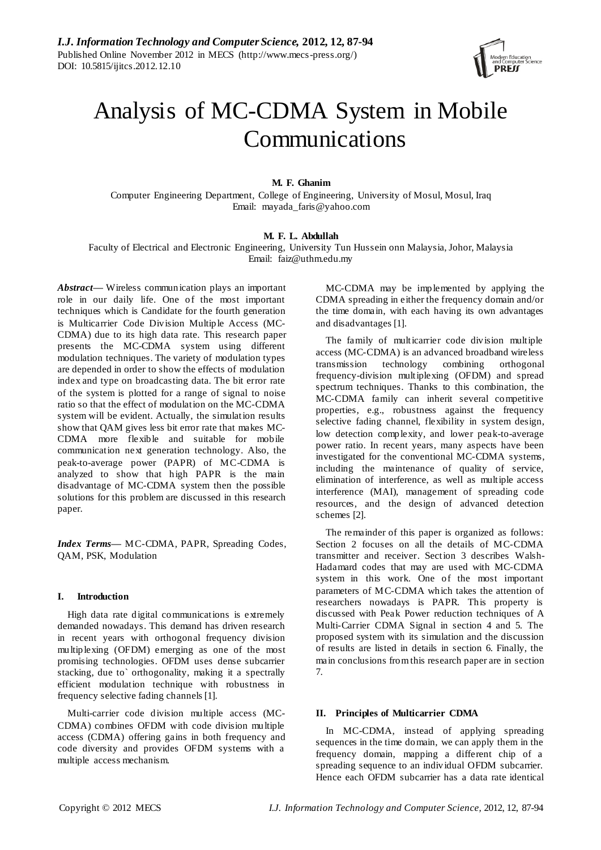

# Analysis of MC-CDMA System in Mobile Communications

## **M. F. Ghanim**

Computer Engineering Department, College of Engineering, University of Mosul, Mosul, Iraq Email: mayada\_faris@yahoo.com

#### **M. F. L. Abdullah**

Faculty of Electrical and Electronic Engineering, University Tun Hussein onn Malaysia, Johor, Malaysia Email: faiz@uthm.edu.my

*Abstract***—** Wireless communication plays an important role in our daily life. One of the most important techniques which is Candidate for the fourth generation is Multicarrier Code Division Multiple Access (MC-CDMA) due to its high data rate. This research paper presents the MC-CDMA system using different modulation techniques. The variety of modulation types are depended in order to show the effects of modulation index and type on broadcasting data. The bit error rate of the system is plotted for a range of signal to noise ratio so that the effect of modulation on the MC-CDMA system will be evident. Actually, the simulation results show that QAM gives less bit error rate that makes MC-CDMA more flexible and suitable for mobile communication next generation technology. Also, the peak-to-average power (PAPR) of MC-CDMA is analyzed to show that high PAPR is the main disadvantage of MC-CDMA system then the possible solutions for this problem are discussed in this research paper.

*Index Terms***—** MC-CDMA, PAPR, Spreading Codes, QAM, PSK, Modulation

#### **I. Introduction**

High data rate digital communications is extremely demanded nowadays. This demand has driven research in recent years with orthogonal frequency division multiplexing (OFDM) emerging as one of the most promising technologies. OFDM uses dense subcarrier stacking, due to` orthogonality, making it a spectrally efficient modulation technique with robustness in frequency selective fading channels [1].

Multi-carrier code division multiple access (MC-CDMA) combines OFDM with code division multiple access (CDMA) offering gains in both frequency and code diversity and provides OFDM systems with a multiple access mechanism.

MC-CDMA may be implemented by applying the CDMA spreading in either the frequency domain and/or the time domain, with each having its own advantages and disadvantages [1].

The family of multicarrier code division multiple access (MC-CDMA) is an advanced broadband wireless transmission technology combining orthogonal frequency-division multiplexing (OFDM) and spread spectrum techniques. Thanks to this combination, the MC-CDMA family can inherit several competitive properties, e.g., robustness against the frequency selective fading channel, flexibility in system design, low detection complexity, and lower peak-to-average power ratio. In recent years, many aspects have been investigated for the conventional MC-CDMA systems, including the maintenance of quality of service, elimination of interference, as well as multiple access interference (MAI), management of spreading code resources, and the design of advanced detection schemes [2].

The remainder of this paper is organized as follows: Section 2 focuses on all the details of MC-CDMA transmitter and receiver. Section 3 describes Walsh-Hadamard codes that may are used with MC-CDMA system in this work. One of the most important parameters of MC-CDMA which takes the attention of researchers nowadays is PAPR. This property is discussed with Peak Power reduction techniques of A Multi-Carrier CDMA Signal in section 4 and 5. The proposed system with its simulation and the discussion of results are listed in details in section 6. Finally, the main conclusions from this research paper are in section 7.

### **II. Principles of Multicarrier CDMA**

In MC-CDMA, instead of applying spreading sequences in the time domain, we can apply them in the frequency domain, mapping a different chip of a spreading sequence to an individual OFDM subcarrier. Hence each OFDM subcarrier has a data rate identical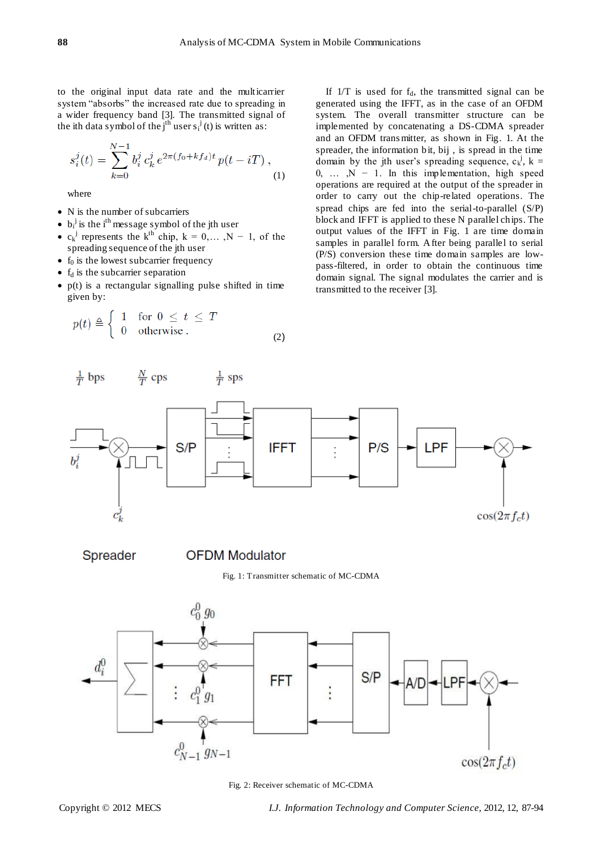to the original input data rate and the multicarrier system "absorbs" the increased rate due to spreading in a wider frequency band [3]. The transmitted signal of the ith data symbol of the j<sup>th</sup> user  $s_i^j(t)$  is written as:

$$
s_i^j(t) = \sum_{k=0}^{N-1} b_i^j c_k^j e^{2\pi (f_0 + kf_d)t} p(t - iT) ,
$$
\n(1)

where

- N is the number of subcarriers
- $\bullet$  b<sub>i</sub><sup>j</sup> is the i<sup>th</sup> message symbol of the jth user
- $c_k$ <sup>j</sup> represents the k<sup>th</sup> chip, k = 0,..., N 1, of the spreading sequence of the jth user
- $f_0$  is the lowest subcarrier frequency
- $f_d$  is the subcarrier separation
- $\bullet$  p(t) is a rectangular signalling pulse shifted in time given by:

$$
p(t) \triangleq \begin{cases} 1 & \text{for } 0 \leq t \leq T \\ 0 & \text{otherwise} \end{cases} \tag{2}
$$

If  $1/T$  is used for  $f_d$ , the transmitted signal can be generated using the IFFT, as in the case of an OFDM system. The overall transmitter structure can be implemented by concatenating a DS-CDMA spreader and an OFDM trans mitter, as shown in Fig. 1. At the spreader, the information bit, bij , is spread in the time domain by the jth user's spreading sequence,  $c_k^j$ ,  $k =$  $0, \ldots, N - 1$ . In this implementation, high speed operations are required at the output of the spreader in order to carry out the chip-related operations. The spread chips are fed into the serial-to-parallel (S/P) block and IFFT is applied to these N parallel chips. The output values of the IFFT in Fig. 1 are time domain samples in parallel form. After being parallel to serial (P/S) conversion these time domain samples are lowpass-filtered, in order to obtain the continuous time domain signal. The signal modulates the carrier and is transmitted to the receiver [3].



Spreader

**OFDM Modulator** 





Fig. 2: Receiver schematic of MC-CDMA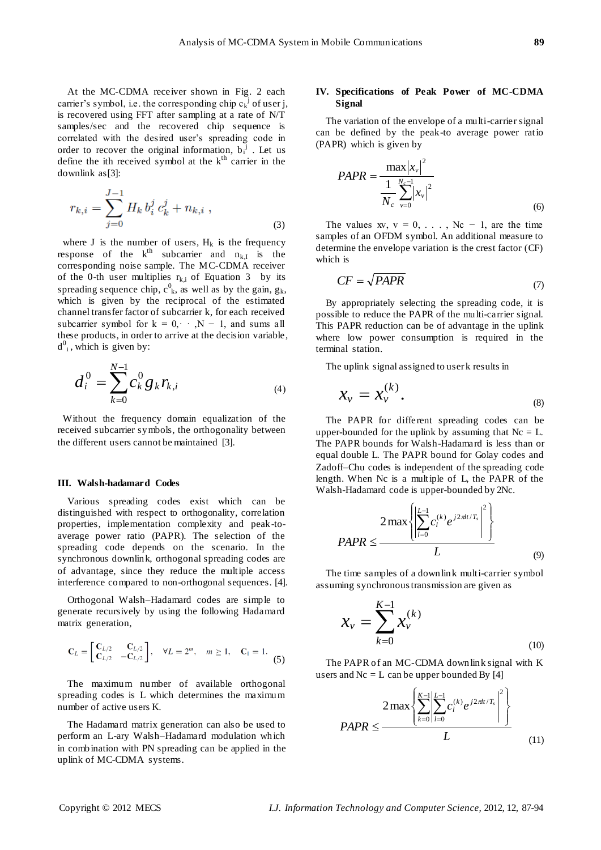At the MC-CDMA receiver shown in Fig. 2 each carrier's symbol, i.e. the corresponding chip  $c_k^j$  of user j, is recovered using FFT after sampling at a rate of N/T samples/sec and the recovered chip sequence is correlated with the desired user's spreading code in order to recover the original information,  $b_i^{\dagger}$ . Let us define the ith received symbol at the  $k<sup>th</sup>$  carrier in the downlink as<sup>[3]</sup>:

$$
r_{k,i} = \sum_{j=0}^{J-1} H_k b_i^j c_k^j + n_{k,i}, \qquad (3)
$$

where J is the number of users,  $H_k$  is the frequency response of the  $k^{\text{th}}$  subcarrier and  $n_{k,I}$  is the corresponding noise sample. The MC-CDMA receiver of the 0-th user multiplies  $r_{k,i}$  of Equation 3 by its spreading sequence chip,  $c^0_k$ , as well as by the gain,  $g_k$ , which is given by the reciprocal of the estimated channel transfer factor of subcarrier k, for each received subcarrier symbol for  $k = 0, \dots, N - 1$ , and sums all these products, in order to arrive at the decision variable,  $d_{i}^{0}$ , which is given by:

$$
d_i^0 = \sum_{k=0}^{N-1} c_k^0 g_k r_{k,i}
$$
 (4)

Without the frequency domain equalization of the received subcarrier symbols, the orthogonality between the different users cannot be maintained [3].

#### **III. Walsh-hadamard Codes**

Various spreading codes exist which can be distinguished with respect to orthogonality, correlation properties, implementation complexity and peak-toaverage power ratio (PAPR). The selection of the spreading code depends on the scenario. In the synchronous downlink, orthogonal spreading codes are of advantage, since they reduce the multiple access interference compared to non-orthogonal sequences. [4].

Orthogonal Walsh–Hadamard codes are simple to generate recursively by using the following Hadamard matrix generation,

$$
\mathbf{C}_L = \begin{bmatrix} \mathbf{C}_{L/2} & \mathbf{C}_{L/2} \\ \mathbf{C}_{L/2} & -\mathbf{C}_{L/2} \end{bmatrix}, \quad \forall L = 2^m, \quad m \ge 1, \quad \mathbf{C}_1 = 1. \tag{5}
$$

The maximum number of available orthogonal spreading codes is L which determines the maximum number of active users K.

The Hadamard matrix generation can also be used to perform an L-ary Walsh–Hadamard modulation which in combination with PN spreading can be applied in the uplink of MC-CDMA systems.

## **IV. Specifications of Peak Power of MC-CDMA Signal**

The variation of the envelope of a multi-carrier signal can be defined by the peak-to average power ratio (PAPR) which is given by

$$
PAPR = \frac{\max |x_v|^2}{\frac{1}{N_c} \sum_{v=0}^{N_c-1} |x_v|^2}
$$
(6)

The values xv,  $v = 0, \ldots$ , Nc – 1, are the time samples of an OFDM symbol. An additional measure to determine the envelope variation is the crest factor (CF) which is

$$
CF = \sqrt{PAPR} \tag{7}
$$

By appropriately selecting the spreading code, it is possible to reduce the PAPR of the multi-carrier signal. This PAPR reduction can be of advantage in the uplink where low power consumption is required in the terminal station.

The uplink signal assigned to user k results in

$$
x_{\nu} = x_{\nu}^{(k)}.
$$

The PAPR for different spreading codes can be upper-bounded for the uplink by assuming that  $Nc = L$ . The PAPR bounds for Walsh-Hadamard is less than or equal double L. The PAPR bound for Golay codes and Zadoff–Chu codes is independent of the spreading code length. When Nc is a multiple of L, the PAPR of the Walsh-Hadamard code is upper-bounded by 2Nc.

$$
PAPR \le \frac{2 \max \left\{ \left| \sum_{l=0}^{L-1} C_l^{(k)} e^{j2\pi l t/T_s} \right|^2 \right\}}{L}
$$
\n(9)

The time samples of a downlink multi-carrier symbol assuming synchronous transmission are given as

$$
x_{\nu} = \sum_{k=0}^{K-1} x_{\nu}^{(k)}
$$
 (10)

The PAPR of an MC-CDMA downlink signal with K users and  $Nc = L$  can be upper bounded By [4]

$$
PAPR \le \frac{2 \max \left\{ \sum_{k=0}^{K-1} \left| \sum_{l=0}^{L-1} c_l^{(k)} e^{j2\pi l t/T_s} \right|^2 \right\}}{L}
$$
(11)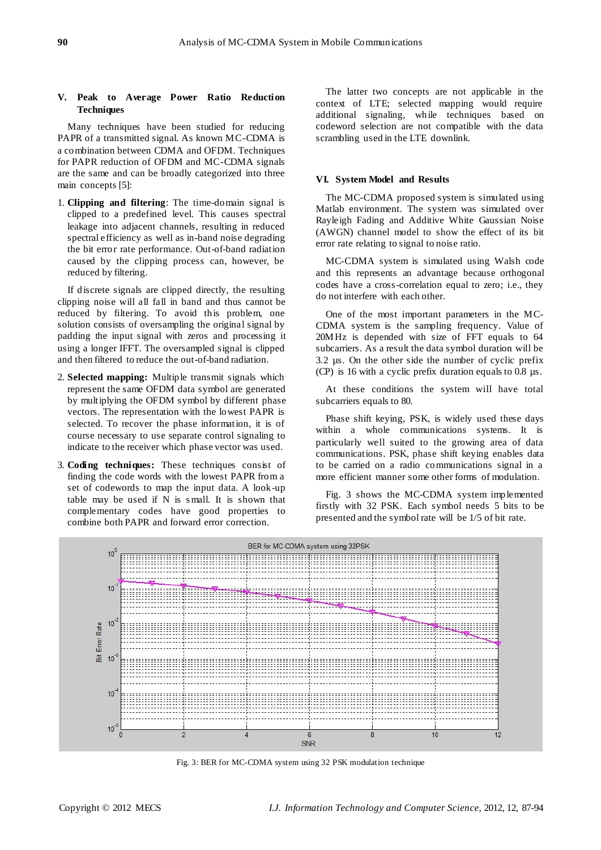#### **V. Peak to Average Power Ratio Reduction Techniques**

Many techniques have been studied for reducing PAPR of a transmitted signal. As known MC-CDMA is a combination between CDMA and OFDM. Techniques for PAPR reduction of OFDM and MC-CDMA signals are the same and can be broadly categorized into three main concepts [5]:

1. **Clipping and filtering**: The time-domain signal is clipped to a predefined level. This causes spectral leakage into adjacent channels, resulting in reduced spectral efficiency as well as in-band noise degrading the bit error rate performance. Out-of-band radiation caused by the clipping process can, however, be reduced by filtering.

If discrete signals are clipped directly, the resulting clipping noise will all fall in band and thus cannot be reduced by filtering. To avoid this problem, one solution consists of oversampling the original signal by padding the input signal with zeros and processing it using a longer IFFT. The oversampled signal is clipped and then filtered to reduce the out-of-band radiation.

- 2. **Selected mapping:** Multiple transmit signals which represent the same OFDM data symbol are generated by multiplying the OFDM symbol by different phase vectors. The representation with the lowest PAPR is selected. To recover the phase information, it is of course necessary to use separate control signaling to indicate to the receiver which phase vector was used.
- 3. **Coding techniques:** These techniques consist of finding the code words with the lowest PAPR from a set of codewords to map the input data. A look-up table may be used if  $N$  is small. It is shown that complementary codes have good properties to combine both PAPR and forward error correction.

The latter two concepts are not applicable in the context of LTE; selected mapping would require additional signaling, while techniques based on codeword selection are not compatible with the data scrambling used in the LTE downlink.

## **VI. System Model and Results**

The MC-CDMA proposed system is simulated using Matlab environment. The system was simulated over Rayleigh Fading and Additive White Gaussian Noise (AWGN) channel model to show the effect of its bit error rate relating to signal to noise ratio.

MC-CDMA system is simulated using Walsh code and this represents an advantage because orthogonal codes have a cross-correlation equal to zero; i.e., they do not interfere with each other.

One of the most important parameters in the MC-CDMA system is the sampling frequency. Value of 20MHz is depended with size of FFT equals to 64 subcarriers. As a result the data symbol duration will be 3.2 µs. On the other side the number of cyclic prefix (CP) is 16 with a cyclic prefix duration equals to  $0.8 \text{ }\mu\text{s}$ .

At these conditions the system will have total subcarriers equals to 80.

Phase shift keying, PSK, is widely used these days within a whole communications systems. It is particularly well suited to the growing area of data communications. PSK, phase shift keying enables data to be carried on a radio communications signal in a more efficient manner some other forms of modulation.

Fig. 3 shows the MC-CDMA system implemented firstly with 32 PSK. Each symbol needs 5 bits to be presented and the symbol rate will be 1/5 of bit rate.



Fig. 3: BER for MC-CDMA system using 32 PSK modulation technique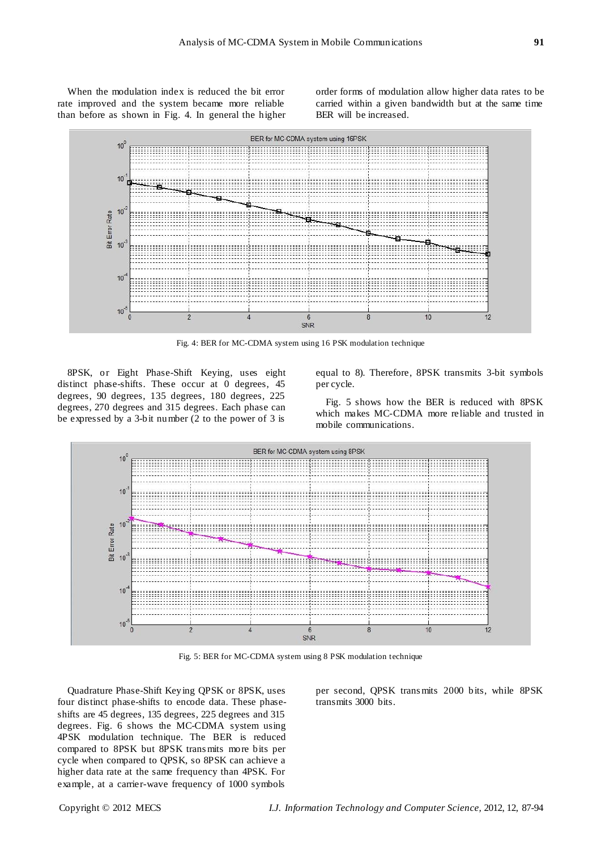When the modulation index is reduced the bit error rate improved and the system became more reliable than before as shown in Fig. 4. In general the higher

order forms of modulation allow higher data rates to be carried within a given bandwidth but at the same time BER will be increased.



Fig. 4: BER for MC-CDMA system using 16 PSK modulation technique

8PSK, or Eight Phase-Shift Keying, uses eight distinct phase-shifts. These occur at 0 degrees, 45 degrees, 90 degrees, 135 degrees, 180 degrees, 225 degrees, 270 degrees and 315 degrees. Each phase can be expressed by a 3-bit number (2 to the power of 3 is

equal to 8). Therefore, 8PSK transmits 3-bit symbols per cycle.

Fig. 5 shows how the BER is reduced with 8PSK which makes MC-CDMA more reliable and trusted in mobile communications.



Fig. 5: BER for MC-CDMA system using 8 PSK modulation technique

Quadrature Phase-Shift Keying QPSK or 8PSK, uses four distinct phase-shifts to encode data. These phaseshifts are 45 degrees, 135 degrees, 225 degrees and 315 degrees. Fig. 6 shows the MC-CDMA system using 4PSK modulation technique. The BER is reduced compared to 8PSK but 8PSK trans mits more bits per cycle when compared to QPSK, so 8PSK can achieve a higher data rate at the same frequency than 4PSK. For example, at a carrier-wave frequency of 1000 symbols

per second, QPSK trans mits 2000 bits, while 8PSK transmits 3000 bits.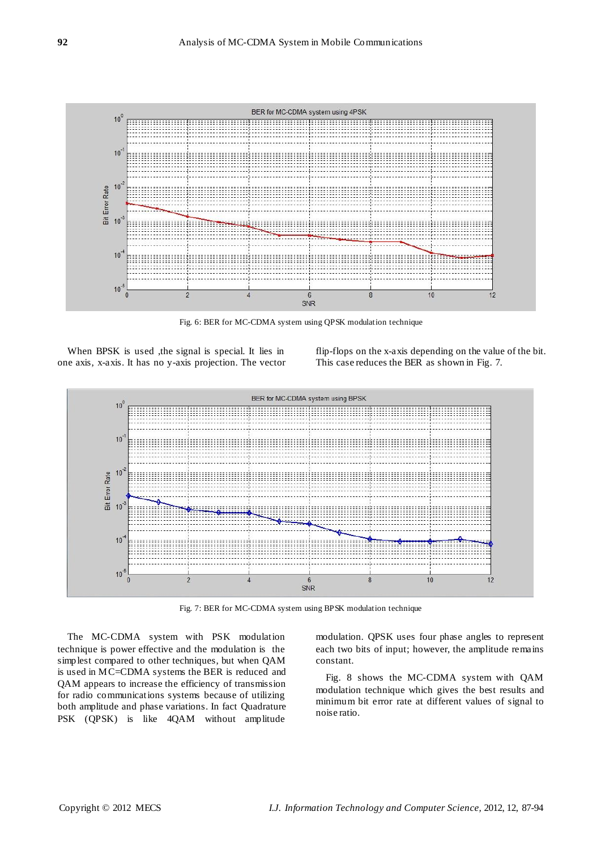

Fig. 6: BER for MC-CDMA system using QPSK modulation technique

When BPSK is used ,the signal is special. It lies in one axis, x-axis. It has no y-axis projection. The vector

flip-flops on the x-axis depending on the value of the bit. This case reduces the BER as shown in Fig. 7.



Fig. 7: BER for MC-CDMA system using BPSK modulation technique

The MC-CDMA system with PSK modulation technique is power effective and the modulation is the simplest compared to other techniques, but when QAM is used in MC=CDMA systems the BER is reduced and QAM appears to increase the efficiency of transmission for radio communications systems because of utilizing both amplitude and phase variations. In fact Quadrature PSK (QPSK) is like 4QAM without amplitude

modulation. QPSK uses four phase angles to represent each two bits of input; however, the amplitude remains constant.

Fig. 8 shows the MC-CDMA system with QAM modulation technique which gives the best results and minimum bit error rate at different values of signal to noise ratio.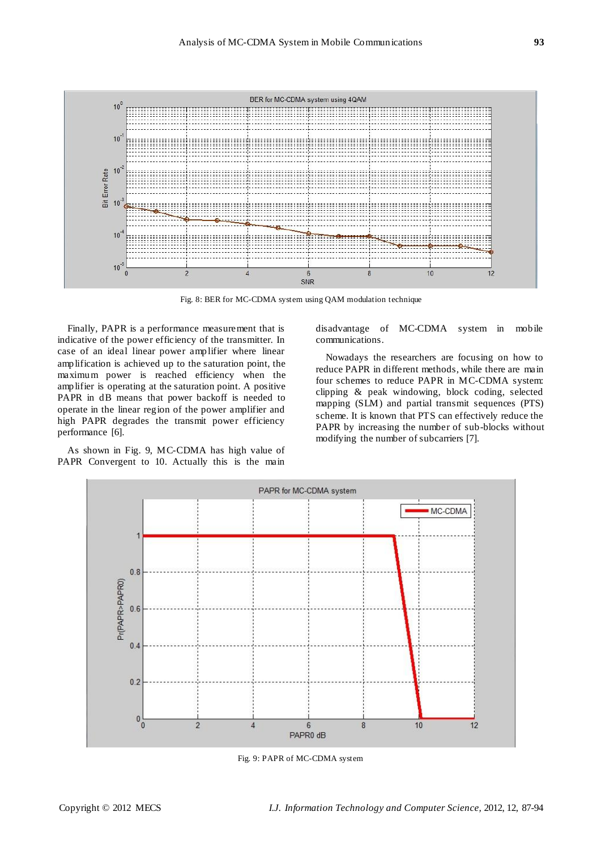

Fig. 8: BER for MC-CDMA system using QAM modulation technique

Finally, PAPR is a performance measurement that is indicative of the power efficiency of the transmitter. In case of an ideal linear power amplifier where linear amplification is achieved up to the saturation point, the maximum power is reached efficiency when the amplifier is operating at the saturation point. A positive PAPR in dB means that power backoff is needed to operate in the linear region of the power amplifier and high PAPR degrades the transmit power efficiency performance [6].

As shown in Fig. 9, MC-CDMA has high value of PAPR Convergent to 10. Actually this is the main

disadvantage of MC-CDMA system in mobile communications.

Nowadays the researchers are focusing on how to reduce PAPR in different methods, while there are main four schemes to reduce PAPR in MC-CDMA system: clipping & peak windowing, block coding, selected mapping (SLM) and partial transmit sequences (PTS) scheme. It is known that PTS can effectively reduce the PAPR by increasing the number of sub-blocks without modifying the number of subcarriers [7].



Fig. 9: PAPR of MC-CDMA system